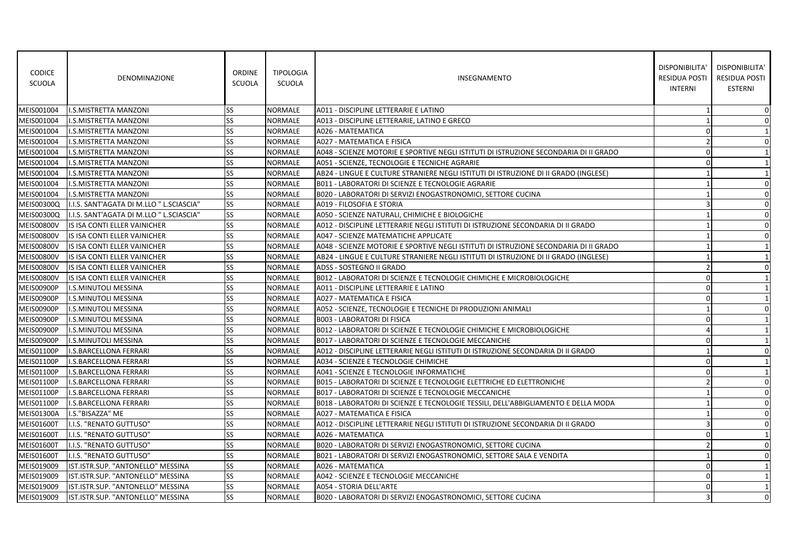| <b>CODICE</b><br>SCUOLA | <b>DENOMINAZIONE</b>                      | <b>ORDINE</b><br><b>SCUOLA</b> | <b>TIPOLOGIA</b><br>SCUOLA | <b>INSEGNAMENTO</b>                                                                   | DISPONIBILITA'<br><b>RESIDUA POSTI</b><br><b>INTERNI</b> | DISPONIBILITA'<br>RESIDUA POSTI<br><b>ESTERNI</b> |
|-------------------------|-------------------------------------------|--------------------------------|----------------------------|---------------------------------------------------------------------------------------|----------------------------------------------------------|---------------------------------------------------|
| MEIS001004              | I.S.MISTRETTA MANZONI                     | SS                             | <b>NORMALE</b>             | A011 - DISCIPLINE LETTERARIE E LATINO                                                 |                                                          | 0                                                 |
| MEIS001004              | <b>I.S.MISTRETTA MANZONI</b>              | SS                             | <b>NORMALE</b>             | A013 - DISCIPLINE LETTERARIE, LATINO E GRECO                                          |                                                          | 0                                                 |
| MEIS001004              | I.S.MISTRETTA MANZONI                     | SS                             | NORMALE                    | A026 - MATEMATICA                                                                     | $\Omega$                                                 | 1                                                 |
| MEIS001004              | I.S.MISTRETTA MANZONI                     | SS                             | NORMALE                    | A027 - MATEMATICA E FISICA                                                            | $\overline{2}$                                           | 0                                                 |
| MEIS001004              | I.S.MISTRETTA MANZONI                     | SS                             | <b>NORMALE</b>             | A048 - SCIENZE MOTORIE E SPORTIVE NEGLI ISTITUTI DI ISTRUZIONE SECONDARIA DI II GRADO | $\Omega$                                                 | 1                                                 |
| MEIS001004              | I.S.MISTRETTA MANZONI                     | SS                             | <b>NORMALE</b>             | A051 - SCIENZE, TECNOLOGIE E TECNICHE AGRARIE                                         | $\Omega$                                                 | 1                                                 |
| MEIS001004              | I.S.MISTRETTA MANZONI                     | SS                             | <b>NORMALE</b>             | AB24 - LINGUE E CULTURE STRANIERE NEGLI ISTITUTI DI ISTRUZIONE DI II GRADO (INGLESE)  | -1                                                       | 1                                                 |
| MEIS001004              | I.S.MISTRETTA MANZONI                     | SS                             | <b>NORMALE</b>             | B011 - LABORATORI DI SCIENZE E TECNOLOGIE AGRARIE                                     |                                                          | 0                                                 |
| MEIS001004              | <b>I.S.MISTRETTA MANZONI</b>              | SS                             | <b>NORMALE</b>             | B020 - LABORATORI DI SERVIZI ENOGASTRONOMICI, SETTORE CUCINA                          |                                                          | $\mathbf 0$                                       |
| <b>MEIS00300Q</b>       | I.I.S. SANT'AGATA DI M.LLO " L.SCIASCIA"  | SS                             | <b>NORMALE</b>             | A019 - FILOSOFIA E STORIA                                                             | $\mathbf{3}$                                             | 0                                                 |
| <b>MEIS00300Q</b>       | II.I.S. SANT'AGATA DI M.LLO " L.SCIASCIA" | <b>SS</b>                      | NORMALE                    | A050 - SCIENZE NATURALI, CHIMICHE E BIOLOGICHE                                        |                                                          | 0                                                 |
| <b>MEIS00800V</b>       | IS ISA CONTI ELLER VAINICHER              | SS                             | <b>NORMALE</b>             | A012 - DISCIPLINE LETTERARIE NEGLI ISTITUTI DI ISTRUZIONE SECONDARIA DI II GRADO      |                                                          | $\mathbf 0$                                       |
| <b>MEIS00800V</b>       | IS ISA CONTI ELLER VAINICHER              | SS                             | <b>NORMALE</b>             | A047 - SCIENZE MATEMATICHE APPLICATE                                                  |                                                          | $\mathbf 0$                                       |
| <b>MEIS00800V</b>       | IS ISA CONTI ELLER VAINICHER              | SS                             | <b>NORMALE</b>             | A048 - SCIENZE MOTORIE E SPORTIVE NEGLI ISTITUTI DI ISTRUZIONE SECONDARIA DI II GRADO |                                                          | 1                                                 |
| <b>MEIS00800V</b>       | IS ISA CONTI ELLER VAINICHER              | SS.                            | NORMALE                    | AB24 - LINGUE E CULTURE STRANIERE NEGLI ISTITUTI DI ISTRUZIONE DI II GRADO (INGLESE)  |                                                          | 1                                                 |
| <b>MEIS00800V</b>       | IS ISA CONTI ELLER VAINICHER              | SS                             | <b>NORMALE</b>             | ADSS - SOSTEGNO II GRADO                                                              | $\mathcal{P}$                                            | 0                                                 |
| <b>MEIS00800V</b>       | IS ISA CONTI ELLER VAINICHER              | SS                             | <b>NORMALE</b>             | B012 - LABORATORI DI SCIENZE E TECNOLOGIE CHIMICHE E MICROBIOLOGICHE                  | $\Omega$                                                 | 1                                                 |
| MEIS00900P              | I.S.MINUTOLI MESSINA                      | SS                             | <b>NORMALE</b>             | A011 - DISCIPLINE LETTERARIE E LATINO                                                 | $\mathbf 0$                                              | $\mathbf{1}$                                      |
| MEIS00900P              | I.S.MINUTOLI MESSINA                      | SS                             | NORMALE                    | A027 - MATEMATICA E FISICA                                                            | $\mathbf 0$                                              | 1                                                 |
| MEIS00900P              | I.S.MINUTOLI MESSINA                      | <b>SS</b>                      | <b>NORMALE</b>             | A052 - SCIENZE, TECNOLOGIE E TECNICHE DI PRODUZIONI ANIMALI                           |                                                          | $\mathbf 0$                                       |
| MEIS00900P              | I.S.MINUTOLI MESSINA                      | SS                             | <b>NORMALE</b>             | <b>B003 - LABORATORI DI FISICA</b>                                                    | $\Omega$                                                 | 1                                                 |
| MEIS00900P              | I.S.MINUTOLI MESSINA                      | SS                             | NORMALE                    | B012 - LABORATORI DI SCIENZE E TECNOLOGIE CHIMICHE E MICROBIOLOGICHE                  |                                                          | 1                                                 |
| MEIS00900P              | I.S.MINUTOLI MESSINA                      | SS                             | <b>NORMALE</b>             | B017 - LABORATORI DI SCIENZE E TECNOLOGIE MECCANICHE                                  | $\Omega$                                                 | 1                                                 |
| <b>MEIS01100P</b>       | I.S.BARCELLONA FERRARI                    | SS                             | <b>NORMALE</b>             | A012 - DISCIPLINE LETTERARIE NEGLI ISTITUTI DI ISTRUZIONE SECONDARIA DI II GRADO      | $\mathbf{1}$                                             | 0                                                 |
| <b>MEIS01100P</b>       | <b>I.S.BARCELLONA FERRARI</b>             | SS                             | <b>NORMALE</b>             | A034 - SCIENZE E TECNOLOGIE CHIMICHE                                                  | $\mathbf 0$                                              | 1                                                 |
| <b>MEIS01100P</b>       | I.S.BARCELLONA FERRARI                    | <b>SS</b>                      | NORMALE                    | A041 - SCIENZE E TECNOLOGIE INFORMATICHE                                              | $\Omega$                                                 | 1                                                 |
| MEIS01100P              | <b>I.S.BARCELLONA FERRARI</b>             | SS                             | <b>NORMALE</b>             | B015 - LABORATORI DI SCIENZE E TECNOLOGIE ELETTRICHE ED ELETTRONICHE                  |                                                          | 0                                                 |
| <b>MEIS01100P</b>       | I.S.BARCELLONA FERRARI                    | SS                             | <b>NORMALE</b>             | B017 - LABORATORI DI SCIENZE E TECNOLOGIE MECCANICHE                                  |                                                          | 0                                                 |
| <b>MEIS01100P</b>       | I.S.BARCELLONA FERRARI                    | SS                             | <b>NORMALE</b>             | B018 - LABORATORI DI SCIENZE E TECNOLOGIE TESSILI, DELL'ABBIGLIAMENTO E DELLA MODA    |                                                          | 0                                                 |
| <b>MEIS01300A</b>       | I.S."BISAZZA" ME                          | SS                             | <b>NORMALE</b>             | <b>A027 - MATEMATICA E FISICA</b>                                                     |                                                          | $\mathbf 0$                                       |
| <b>MEIS01600T</b>       | I.I.S. "RENATO GUTTUSO"                   | SS                             | <b>NORMALE</b>             | A012 - DISCIPLINE LETTERARIE NEGLI ISTITUTI DI ISTRUZIONE SECONDARIA DI II GRADO      | $\overline{3}$                                           | 0                                                 |
| <b>MEIS01600T</b>       | I.I.S. "RENATO GUTTUSO"                   | SS                             | <b>NORMALE</b>             | A026 - MATEMATICA                                                                     | $\Omega$                                                 | 1                                                 |
| <b>MEIS01600T</b>       | I.I.S. "RENATO GUTTUSO"                   | SS.                            | <b>NORMALE</b>             | B020 - LABORATORI DI SERVIZI ENOGASTRONOMICI, SETTORE CUCINA                          | $\overline{2}$                                           | $\mathbf 0$                                       |
| <b>MEIS01600T</b>       | I.I.S. "RENATO GUTTUSO"                   | SS                             | <b>NORMALE</b>             | B021 - LABORATORI DI SERVIZI ENOGASTRONOMICI, SETTORE SALA E VENDITA                  |                                                          | $\mathbf 0$                                       |
| MEIS019009              | IST.ISTR.SUP. "ANTONELLO" MESSINA         | SS                             | NORMALE                    | A026 - MATEMATICA                                                                     | $\mathbf 0$                                              | 1                                                 |
| MEIS019009              | IST.ISTR.SUP. "ANTONELLO" MESSINA         | <b>SS</b>                      | NORMALE                    | A042 - SCIENZE E TECNOLOGIE MECCANICHE                                                | $\mathbf 0$                                              | -1                                                |
| MEIS019009              | IST.ISTR.SUP. "ANTONELLO" MESSINA         | SS                             | NORMALE                    | A054 - STORIA DELL'ARTE                                                               | $\Omega$                                                 | 1                                                 |
| MEIS019009              | IST.ISTR.SUP. "ANTONELLO" MESSINA         | <b>SS</b>                      | <b>NORMALE</b>             | B020 - LABORATORI DI SERVIZI ENOGASTRONOMICI, SETTORE CUCINA                          | $\overline{\mathbf{3}}$                                  | $\Omega$                                          |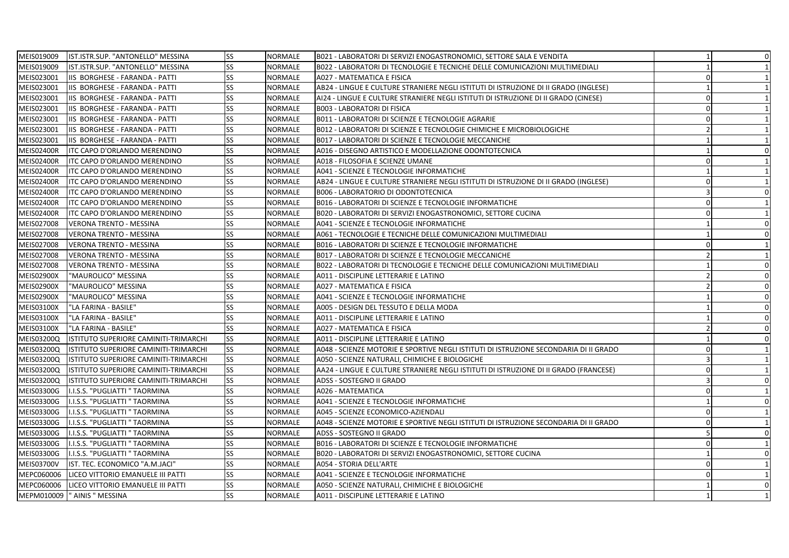| MEIS019009        | IST.ISTR.SUP. "ANTONELLO" MESSINA     | SS | <b>NORMALE</b> | B021 - LABORATORI DI SERVIZI ENOGASTRONOMICI, SETTORE SALA E VENDITA                  | $\mathbf{1}$   | $\overline{0}$  |
|-------------------|---------------------------------------|----|----------------|---------------------------------------------------------------------------------------|----------------|-----------------|
| MEIS019009        | IST.ISTR.SUP. "ANTONELLO" MESSINA     | SS | <b>NORMALE</b> | IB022 - LABORATORI DI TECNOLOGIE E TECNICHE DELLE COMUNICAZIONI MULTIMEDIALI          |                | $1\vert$        |
| MEIS023001        | IIS BORGHESE - FARANDA - PATTI        | SS | <b>NORMALE</b> | A027 - MATEMATICA E FISICA                                                            | $\Omega$       |                 |
| MEIS023001        | IIS BORGHESE - FARANDA - PATTI        | SS | <b>NORMALE</b> | AB24 - LINGUE E CULTURE STRANIERE NEGLI ISTITUTI DI ISTRUZIONE DI II GRADO (INGLESE)  |                | $1\overline{ }$ |
| MEIS023001        | IIS BORGHESE - FARANDA - PATTI        | SS | <b>NORMALE</b> | AI24 - LINGUE E CULTURE STRANIERE NEGLI ISTITUTI DI ISTRUZIONE DI II GRADO (CINESE)   | $\Omega$       | $1\overline{ }$ |
| MEIS023001        | IIS BORGHESE - FARANDA - PATTI        | SS | <b>NORMALE</b> | <b>B003 - LABORATORI DI FISICA</b>                                                    | $\Omega$       | $\mathbf{1}$    |
| MEIS023001        | IIS BORGHESE - FARANDA - PATTI        | SS | <b>NORMALE</b> | B011 - LABORATORI DI SCIENZE E TECNOLOGIE AGRARIE                                     | $\Omega$       | $1\overline{ }$ |
| MEIS023001        | IIS BORGHESE - FARANDA - PATTI        | SS | <b>NORMALE</b> | B012 - LABORATORI DI SCIENZE E TECNOLOGIE CHIMICHE E MICROBIOLOGICHE                  | $\mathcal{P}$  | $1\overline{ }$ |
| MEIS023001        | IIS BORGHESE - FARANDA - PATTI        | SS | <b>NORMALE</b> | B017 - LABORATORI DI SCIENZE E TECNOLOGIE MECCANICHE                                  |                | $\vert$ 1       |
| <b>MEIS02400R</b> | ITC CAPO D'ORLANDO MERENDINO          | SS | <b>NORMALE</b> | A016 - DISEGNO ARTISTICO E MODELLAZIONE ODONTOTECNICA                                 |                | $\overline{0}$  |
| <b>MEIS02400R</b> | ITC CAPO D'ORLANDO MERENDINO          | SS | <b>NORMALE</b> | A018 - FILOSOFIA E SCIENZE UMANE                                                      | $\Omega$       | $1\overline{ }$ |
| <b>MEIS02400R</b> | ITC CAPO D'ORLANDO MERENDINO          | SS | <b>NORMALE</b> | A041 - SCIENZE E TECNOLOGIE INFORMATICHE                                              |                | $\vert$ 1       |
| <b>MEIS02400R</b> | <b>ITC CAPO D'ORLANDO MERENDINO</b>   | SS | <b>NORMALE</b> | AB24 - LINGUE E CULTURE STRANIERE NEGLI ISTITUTI DI ISTRUZIONE DI II GRADO (INGLESE)  | $\Omega$       | $\vert$ 1       |
| <b>MEIS02400R</b> | <b>ITC CAPO D'ORLANDO MERENDINO</b>   | SS | <b>NORMALE</b> | <b>B006 - LABORATORIO DI ODONTOTECNICA</b>                                            | 3              | $\overline{0}$  |
| <b>MEIS02400R</b> | ITC CAPO D'ORLANDO MERENDINO          | SS | <b>NORMALE</b> | B016 - LABORATORI DI SCIENZE E TECNOLOGIE INFORMATICHE                                | $\Omega$       | 1               |
| <b>MEIS02400R</b> | ITC CAPO D'ORLANDO MERENDINO          | SS | <b>NORMALE</b> | B020 - LABORATORI DI SERVIZI ENOGASTRONOMICI, SETTORE CUCINA                          | $\Omega$       | $\vert$ 1       |
| MEIS027008        | <b>VERONA TRENTO - MESSINA</b>        | SS | <b>NORMALE</b> | A041 - SCIENZE E TECNOLOGIE INFORMATICHE                                              |                | $\overline{0}$  |
| MEIS027008        | <b>VERONA TRENTO - MESSINA</b>        | SS | <b>NORMALE</b> | A061 - TECNOLOGIE E TECNICHE DELLE COMUNICAZIONI MULTIMEDIALI                         |                | $\overline{0}$  |
| MEIS027008        | <b>VERONA TRENTO - MESSINA</b>        | SS | NORMALE        | B016 - LABORATORI DI SCIENZE E TECNOLOGIE INFORMATICHE                                | $\Omega$       | $\mathbf{1}$    |
| MEIS027008        | <b>VERONA TRENTO - MESSINA</b>        | SS | <b>NORMALE</b> | B017 - LABORATORI DI SCIENZE E TECNOLOGIE MECCANICHE                                  |                | $1\overline{ }$ |
| MEIS027008        | <b>VERONA TRENTO - MESSINA</b>        | SS | <b>NORMALE</b> | B022 - LABORATORI DI TECNOLOGIE E TECNICHE DELLE COMUNICAZIONI MULTIMEDIALI           |                | $\overline{0}$  |
| <b>MEIS02900X</b> | "MAUROLICO" MESSINA                   | SS | <b>NORMALE</b> | A011 - DISCIPLINE LETTERARIE E LATINO                                                 |                | $\mathbf 0$     |
| <b>MEIS02900X</b> | 'MAUROLICO" MESSINA                   | SS | <b>NORMALE</b> | A027 - MATEMATICA E FISICA                                                            |                | $\overline{0}$  |
| <b>MEIS02900X</b> | 'MAUROLICO" MESSINA                   | SS | <b>NORMALE</b> | A041 - SCIENZE E TECNOLOGIE INFORMATICHE                                              |                | $\mathbf 0$     |
| MEIS03100X        | "LA FARINA - BASILE"                  | SS | <b>NORMALE</b> | A005 - DESIGN DEL TESSUTO E DELLA MODA                                                |                | $\mathbf{0}$    |
| MEIS03100X        | "LA FARINA - BASILE"                  | SS | <b>NORMALE</b> | A011 - DISCIPLINE LETTERARIE E LATINO                                                 |                | $\mathbf{0}$    |
| MEIS03100X        | "LA FARINA - BASILE"                  | SS | <b>NORMALE</b> | A027 - MATEMATICA E FISICA                                                            |                | $\overline{0}$  |
| <b>MEIS03200Q</b> | ISTITUTO SUPERIORE CAMINITI-TRIMARCHI | SS | <b>NORMALE</b> | A011 - DISCIPLINE LETTERARIE E LATINO                                                 |                | $\mathbf 0$     |
| <b>MEIS03200Q</b> | ISTITUTO SUPERIORE CAMINITI-TRIMARCHI | SS | <b>NORMALE</b> | A048 - SCIENZE MOTORIE E SPORTIVE NEGLI ISTITUTI DI ISTRUZIONE SECONDARIA DI II GRADO | $\Omega$       | $\mathbf{1}$    |
| <b>MEIS03200Q</b> | ISTITUTO SUPERIORE CAMINITI-TRIMARCHI | SS | <b>NORMALE</b> | A050 - SCIENZE NATURALI, CHIMICHE E BIOLOGICHE                                        | 3              | $\mathbf{1}$    |
| MEIS03200Q        | ISTITUTO SUPERIORE CAMINITI-TRIMARCHI | SS | <b>NORMALE</b> | AA24 - LINGUE E CULTURE STRANIERE NEGLI ISTITUTI DI ISTRUZIONE DI II GRADO (FRANCESE) | $\Omega$       | $\vert$ 1       |
| <b>MEIS03200Q</b> | ISTITUTO SUPERIORE CAMINITI-TRIMARCHI | SS | <b>NORMALE</b> | ADSS - SOSTEGNO II GRADO                                                              | $\overline{3}$ | $\mathbf{0}$    |
| MEIS03300G        | I.I.S.S. "PUGLIATTI " TAORMINA        | SS | <b>NORMALE</b> | A026 - MATEMATICA                                                                     | $\Omega$       | $1\vert$        |
| MEIS03300G        | I.I.S.S. "PUGLIATTI " TAORMINA        | SS | <b>NORMALE</b> | A041 - SCIENZE E TECNOLOGIE INFORMATICHE                                              |                | $\overline{0}$  |
| MEIS03300G        | I.I.S.S. "PUGLIATTI " TAORMINA        | SS | <b>NORMALE</b> | A045 - SCIENZE ECONOMICO-AZIENDALI                                                    | $\Omega$       | $1\overline{ }$ |
| MEIS03300G        | I.I.S.S. "PUGLIATTI " TAORMINA        | SS | <b>NORMALE</b> | A048 - SCIENZE MOTORIE E SPORTIVE NEGLI ISTITUTI DI ISTRUZIONE SECONDARIA DI II GRADO | $\Omega$       | $\mathbf{1}$    |
| MEIS03300G        | I.I.S.S. "PUGLIATTI " TAORMINA        | SS | <b>NORMALE</b> | ADSS - SOSTEGNO II GRADO                                                              |                | $\overline{0}$  |
| MEIS03300G        | I.I.S.S. "PUGLIATTI " TAORMINA        | SS | <b>NORMALE</b> | B016 - LABORATORI DI SCIENZE E TECNOLOGIE INFORMATICHE                                | $\Omega$       | $1\vert$        |
| MEIS03300G        | I.I.S.S. "PUGLIATTI " TAORMINA        | SS | <b>NORMALE</b> | B020 - LABORATORI DI SERVIZI ENOGASTRONOMICI, SETTORE CUCINA                          |                | $\overline{0}$  |
| <b>MEIS03700V</b> | IST. TEC. ECONOMICO "A.M.JACI"        | SS | <b>NORMALE</b> | A054 - STORIA DELL'ARTE                                                               | $\Omega$       | $\mathbf{1}$    |
| MEPC060006        | LICEO VITTORIO EMANUELE III PATTI     | SS | <b>NORMALE</b> | A041 - SCIENZE E TECNOLOGIE INFORMATICHE                                              | $\Omega$       | 1               |
| MEPC060006        | LICEO VITTORIO EMANUELE III PATTI     | SS | NORMALE        | A050 - SCIENZE NATURALI, CHIMICHE E BIOLOGICHE                                        |                | $\overline{0}$  |
| MEPM010009        | " AINIS " MESSINA                     | SS | <b>NORMALE</b> | A011 - DISCIPLINE LETTERARIE E LATINO                                                 |                | $\vert$ 1       |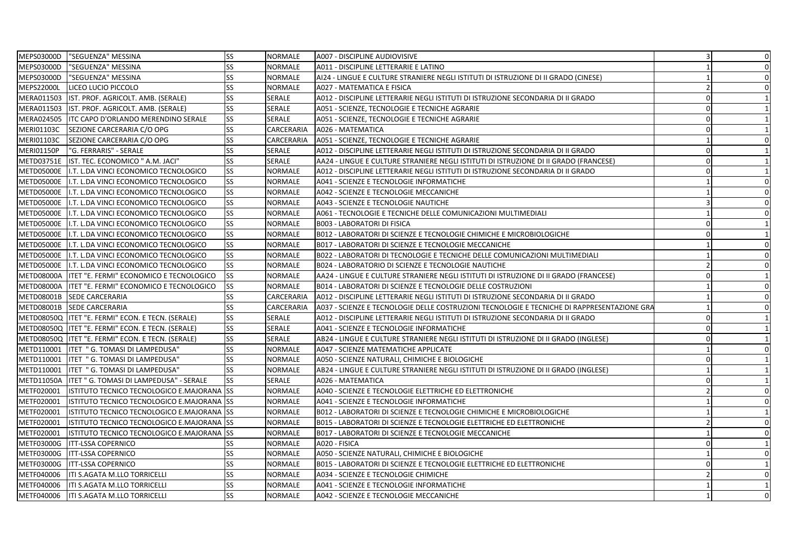| MEPS03000D<br>"SEGUENZA" MESSINA                                 | <b>SS</b> | <b>NORMALE</b> | A007 - DISCIPLINE AUDIOVISIVE                                                               | 3              | 0            |
|------------------------------------------------------------------|-----------|----------------|---------------------------------------------------------------------------------------------|----------------|--------------|
| MEPS03000D<br>"SEGUENZA" MESSINA                                 | <b>SS</b> | <b>NORMALE</b> | A011 - DISCIPLINE LETTERARIE E LATINO                                                       |                | 0            |
| MEPS03000D<br>"SEGUENZA" MESSINA                                 | <b>SS</b> | NORMALE        | AI24 - LINGUE E CULTURE STRANIERE NEGLI ISTITUTI DI ISTRUZIONE DI II GRADO (CINESE)         |                | $\mathbf 0$  |
| <b>MEPS22000L</b><br>LICEO LUCIO PICCOLO                         | <b>SS</b> | NORMALE        | A027 - MATEMATICA E FISICA                                                                  | $\overline{z}$ | 0            |
| MERA011503 IST. PROF. AGRICOLT. AMB. (SERALE)                    | <b>SS</b> | SERALE         | A012 - DISCIPLINE LETTERARIE NEGLI ISTITUTI DI ISTRUZIONE SECONDARIA DI II GRADO            | $\Omega$       | 1            |
| MERA011503 IST. PROF. AGRICOLT. AMB. (SERALE)                    | <b>SS</b> | <b>SERALE</b>  | A051 - SCIENZE, TECNOLOGIE E TECNICHE AGRARIE                                               | $\Omega$       | 1            |
| MERA024505   ITC CAPO D'ORLANDO MERENDINO SERALE                 | <b>SS</b> | SERALE         | A051 - SCIENZE, TECNOLOGIE E TECNICHE AGRARIE                                               | $\Omega$       | $\mathbf{1}$ |
| <b>MERI01103C</b><br>SEZIONE CARCERARIA C/O OPG                  | <b>SS</b> | CARCERARIA     | A026 - MATEMATICA                                                                           | $\Omega$       | $\mathbf{1}$ |
| <b>MERI01103C</b><br>SEZIONE CARCERARIA C/O OPG                  | <b>SS</b> | CARCERARIA     | A051 - SCIENZE, TECNOLOGIE E TECNICHE AGRARIE                                               |                | $\mathbf 0$  |
| <b>MERI01150P</b><br>"G. FERRARIS" - SERALE                      | <b>SS</b> | <b>SERALE</b>  | A012 - DISCIPLINE LETTERARIE NEGLI ISTITUTI DI ISTRUZIONE SECONDARIA DI II GRADO            | $\Omega$       | 1            |
| METD03751E IST. TEC. ECONOMICO " A.M. JACI"                      | <b>SS</b> | <b>SERALE</b>  | AA24 - LINGUE E CULTURE STRANIERE NEGLI ISTITUTI DI ISTRUZIONE DI II GRADO (FRANCESE)       | $\Omega$       | 1            |
| METD05000E   I.T. L.DA VINCI ECONOMICO TECNOLOGICO               | <b>SS</b> | <b>NORMALE</b> | A012 - DISCIPLINE LETTERARIE NEGLI ISTITUTI DI ISTRUZIONE SECONDARIA DI II GRADO            | $\Omega$       | 1            |
| METD05000E   I.T. L.DA VINCI ECONOMICO TECNOLOGICO               | <b>SS</b> | NORMALE        | A041 - SCIENZE E TECNOLOGIE INFORMATICHE                                                    |                | 0            |
| METD05000E   I.T. L.DA VINCI ECONOMICO TECNOLOGICO               | <b>SS</b> | NORMALE        | A042 - SCIENZE E TECNOLOGIE MECCANICHE                                                      |                | 0            |
| METD05000E   I.T. L.DA VINCI ECONOMICO TECNOLOGICO               | <b>SS</b> | NORMALE        | A043 - SCIENZE E TECNOLOGIE NAUTICHE                                                        | $\overline{3}$ | 0            |
| METD05000E   I.T. L.DA VINCI ECONOMICO TECNOLOGICO               | <b>SS</b> | NORMALE        | A061 - TECNOLOGIE E TECNICHE DELLE COMUNICAZIONI MULTIMEDIALI                               |                | $\mathbf 0$  |
| METD05000E   I.T. L.DA VINCI ECONOMICO TECNOLOGICO               | <b>SS</b> | NORMALE        | <b>B003 - LABORATORI DI FISICA</b>                                                          | $\Omega$       | 1            |
| METD05000E   I.T. L.DA VINCI ECONOMICO TECNOLOGICO               | <b>SS</b> | NORMALE        | B012 - LABORATORI DI SCIENZE E TECNOLOGIE CHIMICHE E MICROBIOLOGICHE                        | $\Omega$       | 1            |
| METD05000E   I.T. L.DA VINCI ECONOMICO TECNOLOGICO               | <b>SS</b> | NORMALE        | B017 - LABORATORI DI SCIENZE E TECNOLOGIE MECCANICHE                                        |                | $\mathbf 0$  |
| METD05000E   I.T. L.DA VINCI ECONOMICO TECNOLOGICO               | SS        | NORMALE        | B022 - LABORATORI DI TECNOLOGIE E TECNICHE DELLE COMUNICAZIONI MULTIMEDIALI                 |                | $\mathbf 0$  |
| METD05000E   I.T. L.DA VINCI ECONOMICO TECNOLOGICO               | <b>SS</b> | <b>NORMALE</b> | B024 - LABORATORIO DI SCIENZE E TECNOLOGIE NAUTICHE                                         |                | 0            |
| METD08000A   ITET "E. FERMI" ECONOMICO E TECNOLOGICO             | <b>SS</b> | NORMALE        | AA24 - LINGUE E CULTURE STRANIERE NEGLI ISTITUTI DI ISTRUZIONE DI II GRADO (FRANCESE)       | $\Omega$       | $\mathbf{1}$ |
| METD08000A   ITET "E. FERMI" ECONOMICO E TECNOLOGICO             | <b>SS</b> | NORMALE        | B014 - LABORATORI DI SCIENZE E TECNOLOGIE DELLE COSTRUZIONI                                 |                | 0            |
| METD08001B SEDE CARCERARIA                                       | <b>SS</b> | CARCERARIA     | A012 - DISCIPLINE LETTERARIE NEGLI ISTITUTI DI ISTRUZIONE SECONDARIA DI II GRADO            |                | $\mathbf 0$  |
| METD08001B<br><b>SEDE CARCERARIA</b>                             | <b>SS</b> | CARCERARIA     | A037 - SCIENZE E TECNOLOGIE DELLE COSTRUZIONI TECNOLOGIE E TECNICHE DI RAPPRESENTAZIONE GRA |                | 0            |
| METD08050Q  ITET "E. FERMI" ECON. E TECN. (SERALE)               | <b>SS</b> | <b>SERALE</b>  | A012 - DISCIPLINE LETTERARIE NEGLI ISTITUTI DI ISTRUZIONE SECONDARIA DI II GRADO            | $\Omega$       | 1            |
| METD08050Q  ITET "E. FERMI" ECON. E TECN. (SERALE)               | <b>SS</b> | SERALE         | A041 - SCIENZE E TECNOLOGIE INFORMATICHE                                                    | $\mathbf 0$    | 1            |
| METD08050Q   ITET "E. FERMI" ECON. E TECN. (SERALE)              | <b>SS</b> | <b>SERALE</b>  | AB24 - LINGUE E CULTURE STRANIERE NEGLI ISTITUTI DI ISTRUZIONE DI II GRADO (INGLESE)        | $\Omega$       | 1            |
| METD110001   ITET " G. TOMASI DI LAMPEDUSA"                      | <b>SS</b> | <b>NORMALE</b> | A047 - SCIENZE MATEMATICHE APPLICATE                                                        | $\mathbf{1}$   | 0            |
| METD110001   ITET " G. TOMASI DI LAMPEDUSA"                      | <b>SS</b> | NORMALE        | A050 - SCIENZE NATURALI, CHIMICHE E BIOLOGICHE                                              | $\mathbf 0$    | 1            |
| METD110001   ITET " G. TOMASI DI LAMPEDUSA"                      | <b>SS</b> | NORMALE        | AB24 - LINGUE E CULTURE STRANIERE NEGLI ISTITUTI DI ISTRUZIONE DI II GRADO (INGLESE)        |                | $\mathbf{1}$ |
| METD11050A   ITET " G. TOMASI DI LAMPEDUSA" - SERALE             | <b>SS</b> | SERALE         | A026 - MATEMATICA                                                                           | $\mathbf 0$    | $\mathbf{1}$ |
| METF020001<br><b>ISTITUTO TECNICO TECNOLOGICO E.MAJORANA ISS</b> |           | NORMALE        | A040 - SCIENZE E TECNOLOGIE ELETTRICHE ED ELETTRONICHE                                      |                | 0            |
| METF020001<br>ISTITUTO TECNICO TECNOLOGICO E.MAJORANA SS         |           | NORMALE        | A041 - SCIENZE E TECNOLOGIE INFORMATICHE                                                    |                | 0            |
| METF020001<br>ISTITUTO TECNICO TECNOLOGICO E.MAJORANA SS         |           | NORMALE        | B012 - LABORATORI DI SCIENZE E TECNOLOGIE CHIMICHE E MICROBIOLOGICHE                        |                | 1            |
| METF020001<br>ISTITUTO TECNICO TECNOLOGICO E.MAJORANA SS         |           | NORMALE        | B015 - LABORATORI DI SCIENZE E TECNOLOGIE ELETTRICHE ED ELETTRONICHE                        |                | 0            |
| METF020001<br>ISTITUTO TECNICO TECNOLOGICO E.MAJORANA SS         |           | NORMALE        | B017 - LABORATORI DI SCIENZE E TECNOLOGIE MECCANICHE                                        |                | $\mathbf 0$  |
| METF03000G<br><b>ITT-LSSA COPERNICO</b>                          | <b>SS</b> | NORMALE        | A020 - FISICA                                                                               | $\mathbf 0$    | 1            |
| <b>ITT-LSSA COPERNICO</b><br>METF03000G                          | <b>SS</b> | NORMALE        | A050 - SCIENZE NATURALI, CHIMICHE E BIOLOGICHE                                              |                | 0            |
| METF03000G   ITT-LSSA COPERNICO                                  | <b>SS</b> | NORMALE        | <b>B015 - LABORATORI DI SCIENZE E TECNOLOGIE ELETTRICHE ED ELETTRONICHE</b>                 | $\Omega$       | 1            |
| METF040006<br><b>ITI S.AGATA M.LLO TORRICELLI</b>                | <b>SS</b> | NORMALE        | A034 - SCIENZE E TECNOLOGIE CHIMICHE                                                        |                | 0            |
| METF040006<br><b>ITI S.AGATA M.LLO TORRICELLI</b>                | <b>SS</b> | NORMALE        | A041 - SCIENZE E TECNOLOGIE INFORMATICHE                                                    |                | 1            |
| METF040006   ITI S.AGATA M.LLO TORRICELLI                        | <b>SS</b> | <b>NORMALE</b> | A042 - SCIENZE E TECNOLOGIE MECCANICHE                                                      | -1             | $\mathbf 0$  |